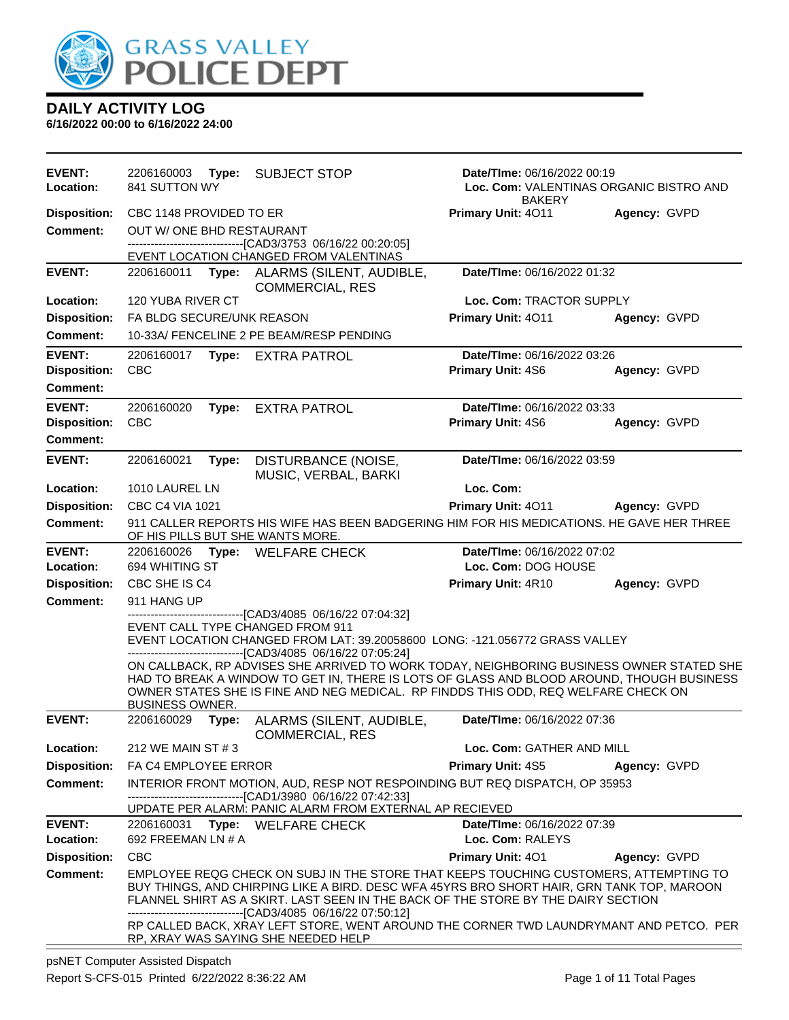

| EVENT:<br>Location:        | 2206160003<br>Type:<br>841 SUTTON WY | <b>SUBJECT STOP</b>                                                                                                                                                                                                                                                                                                                                                               | Date/TIme: 06/16/2022 00:19<br>Loc. Com: VALENTINAS ORGANIC BISTRO AND<br><b>BAKERY</b> |              |
|----------------------------|--------------------------------------|-----------------------------------------------------------------------------------------------------------------------------------------------------------------------------------------------------------------------------------------------------------------------------------------------------------------------------------------------------------------------------------|-----------------------------------------------------------------------------------------|--------------|
| <b>Disposition:</b>        | CBC 1148 PROVIDED TO ER              |                                                                                                                                                                                                                                                                                                                                                                                   | Primary Unit: 4011                                                                      | Agency: GVPD |
| <b>Comment:</b>            | OUT W/ ONE BHD RESTAURANT            |                                                                                                                                                                                                                                                                                                                                                                                   |                                                                                         |              |
|                            |                                      | -------------------------------[CAD3/3753 06/16/22 00:20:05]                                                                                                                                                                                                                                                                                                                      |                                                                                         |              |
| <b>EVENT:</b>              |                                      | EVENT LOCATION CHANGED FROM VALENTINAS                                                                                                                                                                                                                                                                                                                                            | Date/TIme: 06/16/2022 01:32                                                             |              |
|                            |                                      | 2206160011 Type: ALARMS (SILENT, AUDIBLE,<br><b>COMMERCIAL, RES</b>                                                                                                                                                                                                                                                                                                               |                                                                                         |              |
| Location:                  | <b>120 YUBA RIVER CT</b>             |                                                                                                                                                                                                                                                                                                                                                                                   | Loc. Com: TRACTOR SUPPLY                                                                |              |
| <b>Disposition:</b>        | FA BLDG SECURE/UNK REASON            |                                                                                                                                                                                                                                                                                                                                                                                   | Primary Unit: 4011                                                                      | Agency: GVPD |
| <b>Comment:</b>            |                                      | 10-33A/ FENCELINE 2 PE BEAM/RESP PENDING                                                                                                                                                                                                                                                                                                                                          |                                                                                         |              |
| <b>EVENT:</b>              | 2206160017                           | Type: EXTRA PATROL                                                                                                                                                                                                                                                                                                                                                                | Date/TIme: 06/16/2022 03:26                                                             |              |
| <b>Disposition:</b>        | <b>CBC</b>                           |                                                                                                                                                                                                                                                                                                                                                                                   | Primary Unit: 4S6                                                                       | Agency: GVPD |
| <b>Comment:</b>            |                                      |                                                                                                                                                                                                                                                                                                                                                                                   |                                                                                         |              |
| <b>EVENT:</b>              | 2206160020<br>Type:                  | <b>EXTRA PATROL</b>                                                                                                                                                                                                                                                                                                                                                               | Date/TIme: 06/16/2022 03:33                                                             |              |
| <b>Disposition:</b>        | <b>CBC</b>                           |                                                                                                                                                                                                                                                                                                                                                                                   | Primary Unit: 4S6                                                                       | Agency: GVPD |
| <b>Comment:</b>            |                                      |                                                                                                                                                                                                                                                                                                                                                                                   |                                                                                         |              |
| <b>EVENT:</b>              | 2206160021<br>Type:                  | DISTURBANCE (NOISE,<br>MUSIC, VERBAL, BARKI                                                                                                                                                                                                                                                                                                                                       | Date/TIme: 06/16/2022 03:59                                                             |              |
| Location:                  | 1010 LAUREL LN                       |                                                                                                                                                                                                                                                                                                                                                                                   | Loc. Com:                                                                               |              |
| <b>Disposition:</b>        | CBC C4 VIA 1021                      |                                                                                                                                                                                                                                                                                                                                                                                   | Primary Unit: 4011                                                                      | Agency: GVPD |
| <b>Comment:</b>            | OF HIS PILLS BUT SHE WANTS MORE.     | 911 CALLER REPORTS HIS WIFE HAS BEEN BADGERING HIM FOR HIS MEDICATIONS. HE GAVE HER THREE                                                                                                                                                                                                                                                                                         |                                                                                         |              |
| <b>EVENT:</b>              |                                      | 2206160026 Type: WELFARE CHECK                                                                                                                                                                                                                                                                                                                                                    | Date/TIme: 06/16/2022 07:02                                                             |              |
| Location:                  | 694 WHITING ST                       |                                                                                                                                                                                                                                                                                                                                                                                   | Loc. Com: DOG HOUSE                                                                     |              |
| <b>Disposition:</b>        | CBC SHE IS C4                        |                                                                                                                                                                                                                                                                                                                                                                                   | Primary Unit: 4R10                                                                      | Agency: GVPD |
| <b>Comment:</b>            | 911 HANG UP                          | ------------------[CAD3/4085_06/16/22_07:04:32]                                                                                                                                                                                                                                                                                                                                   |                                                                                         |              |
|                            | EVENT CALL TYPE CHANGED FROM 911     |                                                                                                                                                                                                                                                                                                                                                                                   |                                                                                         |              |
|                            |                                      | EVENT LOCATION CHANGED FROM LAT: 39.20058600 LONG: -121.056772 GRASS VALLEY                                                                                                                                                                                                                                                                                                       |                                                                                         |              |
|                            | <b>BUSINESS OWNER.</b>               | -------------------------------[CAD3/4085 06/16/22 07:05:24]<br>ON CALLBACK, RP ADVISES SHE ARRIVED TO WORK TODAY, NEIGHBORING BUSINESS OWNER STATED SHE<br>HAD TO BREAK A WINDOW TO GET IN, THERE IS LOTS OF GLASS AND BLOOD AROUND, THOUGH BUSINESS<br>OWNER STATES SHE IS FINE AND NEG MEDICAL. RP FINDDS THIS ODD, REQ WELFARE CHECK ON                                       |                                                                                         |              |
| <b>EVENT:</b>              | 2206160029<br>Type:                  | ALARMS (SILENT, AUDIBLE,<br><b>COMMERCIAL, RES</b>                                                                                                                                                                                                                                                                                                                                | Date/TIme: 06/16/2022 07:36                                                             |              |
| Location:                  | 212 WE MAIN ST # 3                   |                                                                                                                                                                                                                                                                                                                                                                                   | Loc. Com: GATHER AND MILL                                                               |              |
| <b>Disposition:</b>        | FA C4 EMPLOYEE ERROR                 |                                                                                                                                                                                                                                                                                                                                                                                   | <b>Primary Unit: 4S5</b>                                                                | Agency: GVPD |
| Comment:                   |                                      | INTERIOR FRONT MOTION, AUD, RESP NOT RESPOINDING BUT REQ DISPATCH, OP 35953<br>-------------------------------[CAD1/3980 06/16/22 07:42:33]                                                                                                                                                                                                                                       |                                                                                         |              |
|                            |                                      | UPDATE PER ALARM: PANIC ALARM FROM EXTERNAL AP RECIEVED                                                                                                                                                                                                                                                                                                                           |                                                                                         |              |
| <b>EVENT:</b><br>Location: | 692 FREEMAN LN # A                   | 2206160031 Type: WELFARE CHECK                                                                                                                                                                                                                                                                                                                                                    | Date/TIme: 06/16/2022 07:39<br>Loc. Com: RALEYS                                         |              |
| <b>Disposition:</b>        | <b>CBC</b>                           |                                                                                                                                                                                                                                                                                                                                                                                   | Primary Unit: 401                                                                       | Agency: GVPD |
| <b>Comment:</b>            |                                      | EMPLOYEE REQG CHECK ON SUBJ IN THE STORE THAT KEEPS TOUCHING CUSTOMERS, ATTEMPTING TO                                                                                                                                                                                                                                                                                             |                                                                                         |              |
|                            |                                      | BUY THINGS, AND CHIRPING LIKE A BIRD. DESC WFA 45YRS BRO SHORT HAIR, GRN TANK TOP, MAROON<br>FLANNEL SHIRT AS A SKIRT. LAST SEEN IN THE BACK OF THE STORE BY THE DAIRY SECTION<br>---------------------------------[CAD3/4085_06/16/22_07:50:12]<br>RP CALLED BACK, XRAY LEFT STORE, WENT AROUND THE CORNER TWD LAUNDRYMANT AND PETCO. PER<br>RP, XRAY WAS SAYING SHE NEEDED HELP |                                                                                         |              |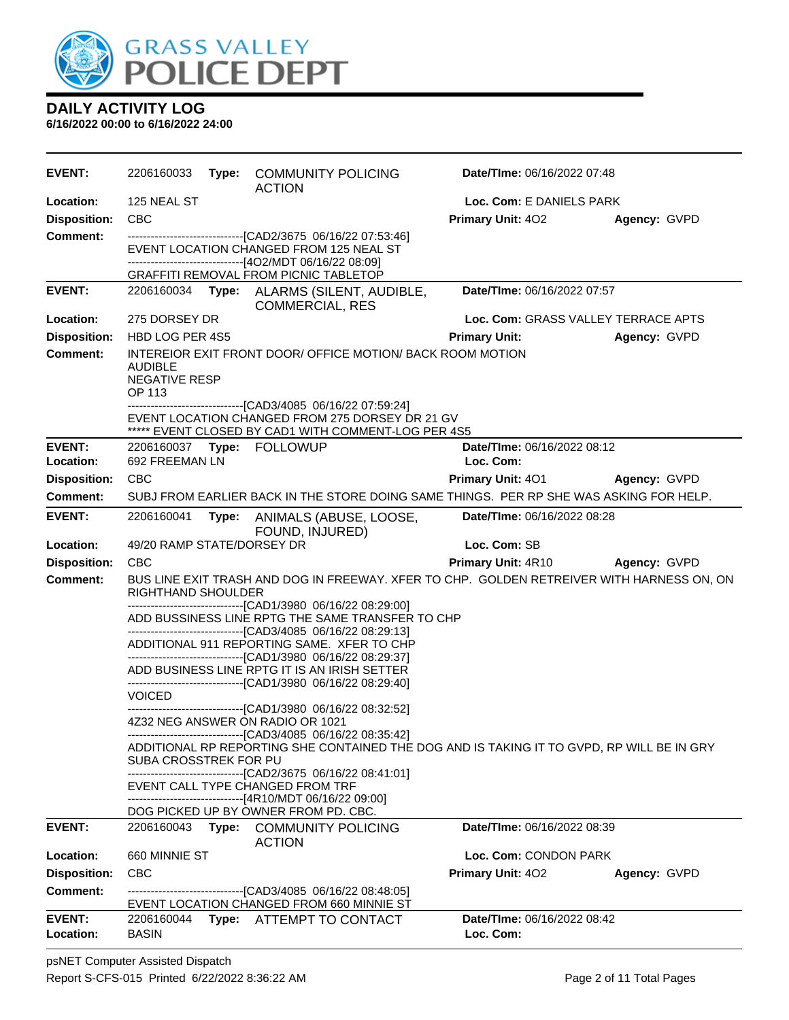

| <b>EVENT:</b>              | 2206160033                                       |       | Type: COMMUNITY POLICING<br><b>ACTION</b>                                                                                                                           | Date/TIme: 06/16/2022 07:48              |              |
|----------------------------|--------------------------------------------------|-------|---------------------------------------------------------------------------------------------------------------------------------------------------------------------|------------------------------------------|--------------|
| Location:                  | 125 NEAL ST                                      |       |                                                                                                                                                                     | Loc. Com: E DANIELS PARK                 |              |
| <b>Disposition:</b>        | <b>CBC</b>                                       |       |                                                                                                                                                                     | <b>Primary Unit: 402</b>                 | Agency: GVPD |
| Comment:                   |                                                  |       | --------------------------------[CAD2/3675 06/16/22 07:53:46]<br>EVENT LOCATION CHANGED FROM 125 NEAL ST<br>-------------------------------[4O2/MDT 06/16/22 08:09] |                                          |              |
|                            |                                                  |       | GRAFFITI REMOVAL FROM PICNIC TABLETOP                                                                                                                               |                                          |              |
| <b>EVENT:</b>              | 2206160034                                       | Type: | ALARMS (SILENT, AUDIBLE,<br><b>COMMERCIAL, RES</b>                                                                                                                  | Date/TIme: 06/16/2022 07:57              |              |
| Location:                  | 275 DORSEY DR                                    |       |                                                                                                                                                                     | Loc. Com: GRASS VALLEY TERRACE APTS      |              |
| <b>Disposition:</b>        | HBD LOG PER 4S5                                  |       |                                                                                                                                                                     | <b>Primary Unit:</b>                     | Agency: GVPD |
| <b>Comment:</b>            | <b>AUDIBLE</b><br><b>NEGATIVE RESP</b><br>OP 113 |       | INTEREIOR EXIT FRONT DOOR/ OFFICE MOTION/ BACK ROOM MOTION<br>---------------------------------[CAD3/4085 06/16/22 07:59:24]                                        |                                          |              |
|                            |                                                  |       | EVENT LOCATION CHANGED FROM 275 DORSEY DR 21 GV<br>***** EVENT CLOSED BY CAD1 WITH COMMENT-LOG PER 4S5                                                              |                                          |              |
| <b>EVENT:</b><br>Location: | 692 FREEMAN LN                                   |       | 2206160037 Type: FOLLOWUP                                                                                                                                           | Date/TIme: 06/16/2022 08:12<br>Loc. Com: |              |
| <b>Disposition:</b>        | <b>CBC</b>                                       |       |                                                                                                                                                                     | <b>Primary Unit: 401</b>                 | Agency: GVPD |
| <b>Comment:</b>            |                                                  |       | SUBJ FROM EARLIER BACK IN THE STORE DOING SAME THINGS. PER RP SHE WAS ASKING FOR HELP.                                                                              |                                          |              |
| <b>EVENT:</b>              | 2206160041                                       | Type: | ANIMALS (ABUSE, LOOSE,<br>FOUND, INJURED)                                                                                                                           | Date/TIme: 06/16/2022 08:28              |              |
|                            |                                                  |       |                                                                                                                                                                     |                                          |              |
| Location:                  | 49/20 RAMP STATE/DORSEY DR                       |       |                                                                                                                                                                     | Loc. Com: SB                             |              |
| <b>Disposition:</b>        | <b>CBC</b>                                       |       |                                                                                                                                                                     | <b>Primary Unit: 4R10</b>                | Agency: GVPD |
| <b>Comment:</b>            |                                                  |       | BUS LINE EXIT TRASH AND DOG IN FREEWAY. XFER TO CHP. GOLDEN RETREIVER WITH HARNESS ON, ON                                                                           |                                          |              |
|                            | RIGHTHAND SHOULDER                               |       | -------------------------------[CAD1/3980 06/16/22 08:29:00]                                                                                                        |                                          |              |
|                            |                                                  |       | ADD BUSSINESS LINE RPTG THE SAME TRANSFER TO CHP                                                                                                                    |                                          |              |
|                            |                                                  |       | ------------------------------[CAD3/4085 06/16/22 08:29:13]<br>ADDITIONAL 911 REPORTING SAME. XFER TO CHP                                                           |                                          |              |
|                            |                                                  |       | -------------------------------[CAD1/3980 06/16/22 08:29:37]<br>ADD BUSINESS LINE RPTG IT IS AN IRISH SETTER                                                        |                                          |              |
|                            | <b>VOICED</b>                                    |       | -------------------------------[CAD1/3980 06/16/22 08:29:40]                                                                                                        |                                          |              |
|                            |                                                  |       | -------------------------------[CAD1/3980 06/16/22 08:32:52]<br>4Z32 NEG ANSWER ON RADIO OR 1021                                                                    |                                          |              |
|                            | SUBA CROSSTREK FOR PU                            |       | ------------------------------[CAD3/4085 06/16/22 08:35:42]<br>ADDITIONAL RP REPORTING SHE CONTAINED THE DOG AND IS TAKING IT TO GVPD, RP WILL BE IN GRY            |                                          |              |
|                            |                                                  |       | ------------------------------[CAD2/3675 06/16/22 08:41:01]<br>EVENT CALL TYPE CHANGED FROM TRF                                                                     |                                          |              |
|                            |                                                  |       | ------------------------------[4R10/MDT 06/16/22 09:00]<br>DOG PICKED UP BY OWNER FROM PD. CBC.                                                                     |                                          |              |
| <b>EVENT:</b>              | 2206160043                                       |       | Type: COMMUNITY POLICING                                                                                                                                            | Date/TIme: 06/16/2022 08:39              |              |
| Location:                  | 660 MINNIE ST                                    |       | <b>ACTION</b>                                                                                                                                                       | Loc. Com: CONDON PARK                    |              |
| <b>Disposition:</b>        | <b>CBC</b>                                       |       |                                                                                                                                                                     | <b>Primary Unit: 402</b>                 | Agency: GVPD |
| <b>Comment:</b>            |                                                  |       | -------------------------------[CAD3/4085 06/16/22 08:48:05]<br>EVENT LOCATION CHANGED FROM 660 MINNIE ST                                                           |                                          |              |
| <b>EVENT:</b><br>Location: | 2206160044<br><b>BASIN</b>                       |       | Type: ATTEMPT TO CONTACT                                                                                                                                            | Date/TIme: 06/16/2022 08:42<br>Loc. Com: |              |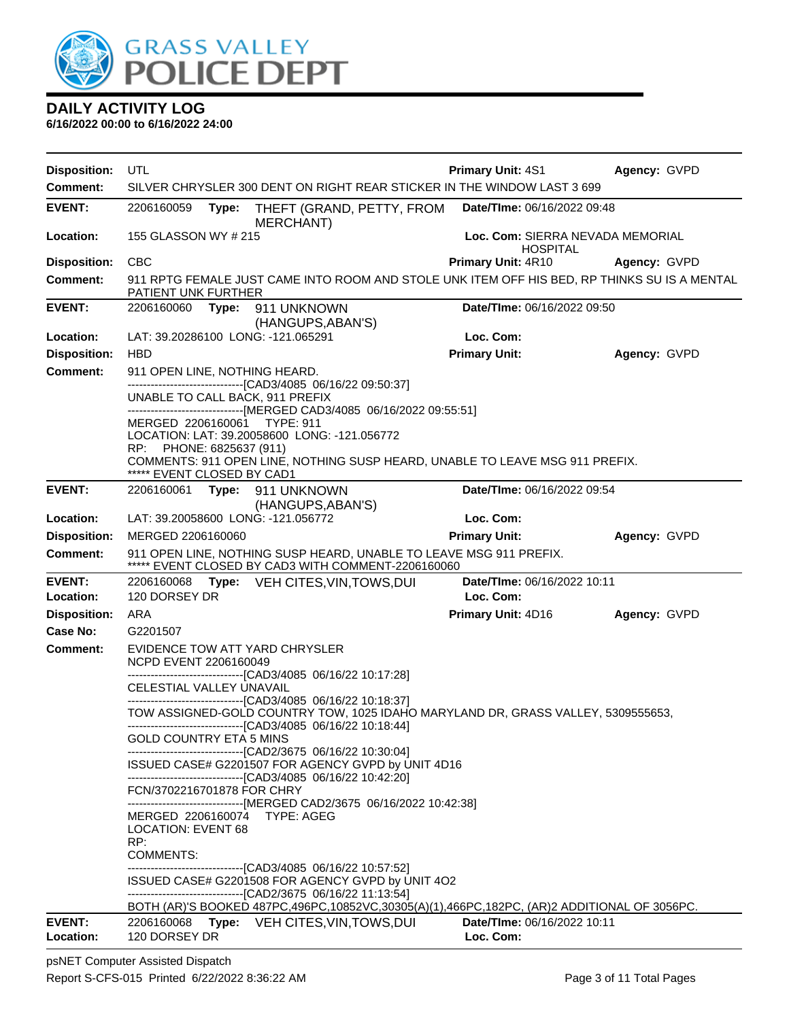

| <b>Disposition:</b>              | UTL                                                                                                                          |                                                                                                                                                                                                                                                                                           | <b>Primary Unit: 4S1</b>                            | Agency: GVPD |
|----------------------------------|------------------------------------------------------------------------------------------------------------------------------|-------------------------------------------------------------------------------------------------------------------------------------------------------------------------------------------------------------------------------------------------------------------------------------------|-----------------------------------------------------|--------------|
| <b>Comment:</b>                  |                                                                                                                              | SILVER CHRYSLER 300 DENT ON RIGHT REAR STICKER IN THE WINDOW LAST 3 699                                                                                                                                                                                                                   |                                                     |              |
| <b>EVENT:</b>                    | 2206160059<br>Type:                                                                                                          | THEFT (GRAND, PETTY, FROM<br><b>MERCHANT)</b>                                                                                                                                                                                                                                             | Date/TIme: 06/16/2022 09:48                         |              |
| Location:                        | 155 GLASSON WY # 215                                                                                                         |                                                                                                                                                                                                                                                                                           | Loc. Com: SIERRA NEVADA MEMORIAL<br><b>HOSPITAL</b> |              |
| <b>Disposition:</b>              | <b>CBC</b>                                                                                                                   |                                                                                                                                                                                                                                                                                           | <b>Primary Unit: 4R10</b>                           | Agency: GVPD |
| <b>Comment:</b>                  | <b>PATIENT UNK FURTHER</b>                                                                                                   | 911 RPTG FEMALE JUST CAME INTO ROOM AND STOLE UNK ITEM OFF HIS BED, RP THINKS SU IS A MENTAL                                                                                                                                                                                              |                                                     |              |
| <b>EVENT:</b>                    | 2206160060                                                                                                                   | Type: 911 UNKNOWN<br>(HANGUPS, ABAN'S)                                                                                                                                                                                                                                                    | Date/TIme: 06/16/2022 09:50                         |              |
| Location:                        | LAT: 39.20286100 LONG: -121.065291                                                                                           |                                                                                                                                                                                                                                                                                           | Loc. Com:                                           |              |
| <b>Disposition:</b>              | <b>HBD</b>                                                                                                                   |                                                                                                                                                                                                                                                                                           | <b>Primary Unit:</b>                                | Agency: GVPD |
| <b>Comment:</b>                  | 911 OPEN LINE, NOTHING HEARD.                                                                                                |                                                                                                                                                                                                                                                                                           |                                                     |              |
|                                  | UNABLE TO CALL BACK, 911 PREFIX<br>MERGED 2206160061<br>RP: PHONE: 6825637 (911)<br>***** EVENT CLOSED BY CAD1               | -------------------------------[CAD3/4085 06/16/22 09:50:37]<br>-------------------------------[MERGED CAD3/4085 06/16/2022 09:55:51]<br><b>TYPE: 911</b><br>LOCATION: LAT: 39.20058600 LONG: -121.056772<br>COMMENTS: 911 OPEN LINE, NOTHING SUSP HEARD, UNABLE TO LEAVE MSG 911 PREFIX. |                                                     |              |
| <b>EVENT:</b>                    | 2206160061                                                                                                                   | Type: 911 UNKNOWN                                                                                                                                                                                                                                                                         | Date/TIme: 06/16/2022 09:54                         |              |
|                                  |                                                                                                                              | (HANGUPS, ABAN'S)                                                                                                                                                                                                                                                                         |                                                     |              |
| Location:<br><b>Disposition:</b> | LAT: 39.20058600 LONG: -121.056772<br>MERGED 2206160060                                                                      |                                                                                                                                                                                                                                                                                           | Loc. Com:<br><b>Primary Unit:</b>                   | Agency: GVPD |
| <b>Comment:</b>                  |                                                                                                                              | 911 OPEN LINE, NOTHING SUSP HEARD, UNABLE TO LEAVE MSG 911 PREFIX.                                                                                                                                                                                                                        |                                                     |              |
|                                  |                                                                                                                              | ***** EVENT CLOSED BY CAD3 WITH COMMENT-2206160060                                                                                                                                                                                                                                        |                                                     |              |
| <b>EVENT:</b><br>Location:       | 2206160068<br>120 DORSEY DR                                                                                                  | Type: VEH CITES, VIN, TOWS, DUI                                                                                                                                                                                                                                                           | Date/TIme: 06/16/2022 10:11<br>Loc. Com:            |              |
| <b>Disposition:</b>              | ARA                                                                                                                          |                                                                                                                                                                                                                                                                                           | Primary Unit: 4D16                                  | Agency: GVPD |
| Case No:                         | G2201507                                                                                                                     |                                                                                                                                                                                                                                                                                           |                                                     |              |
| <b>Comment:</b>                  | EVIDENCE TOW ATT YARD CHRYSLER<br><b>NCPD EVENT 2206160049</b><br>CELESTIAL VALLEY UNAVAIL<br><b>GOLD COUNTRY ETA 5 MINS</b> | ------------------------------[CAD3/4085 06/16/22 10:17:28]<br>-------------------------------[CAD3/4085 06/16/22 10:18:37]<br>TOW ASSIGNED-GOLD COUNTRY TOW, 1025 IDAHO MARYLAND DR, GRASS VALLEY, 5309555653,<br>------------------------------[CAD3/4085 06/16/22 10:18:44]            |                                                     |              |
|                                  |                                                                                                                              | ---------------------------------[CAD2/3675_06/16/22_10:30:04]<br>ISSUED CASE# G2201507 FOR AGENCY GVPD by UNIT 4D16<br>-------------------------------[CAD3/4085 06/16/22 10:42:20]                                                                                                      |                                                     |              |
|                                  | FCN/3702216701878 FOR CHRY                                                                                                   | -------------------------------[MERGED CAD2/3675 06/16/2022 10:42:38]                                                                                                                                                                                                                     |                                                     |              |
|                                  | MERGED 2206160074 TYPE: AGEG<br><b>LOCATION: EVENT 68</b><br>RP:<br><b>COMMENTS:</b>                                         |                                                                                                                                                                                                                                                                                           |                                                     |              |
|                                  |                                                                                                                              | -------------------------------[CAD3/4085 06/16/22 10:57:52]<br>ISSUED CASE# G2201508 FOR AGENCY GVPD by UNIT 4O2<br>-------------------------------[CAD2/3675 06/16/22 11:13:54]<br>BOTH (AR)'S BOOKED 487PC,496PC,10852VC,30305(A)(1),466PC,182PC, (AR)2 ADDITIONAL OF 3056PC.          |                                                     |              |
| <b>EVENT:</b><br>Location:       | 2206160068<br>120 DORSEY DR                                                                                                  | Type: VEH CITES, VIN, TOWS, DUI                                                                                                                                                                                                                                                           | <b>Date/Time: 06/16/2022 10:11</b><br>Loc. Com:     |              |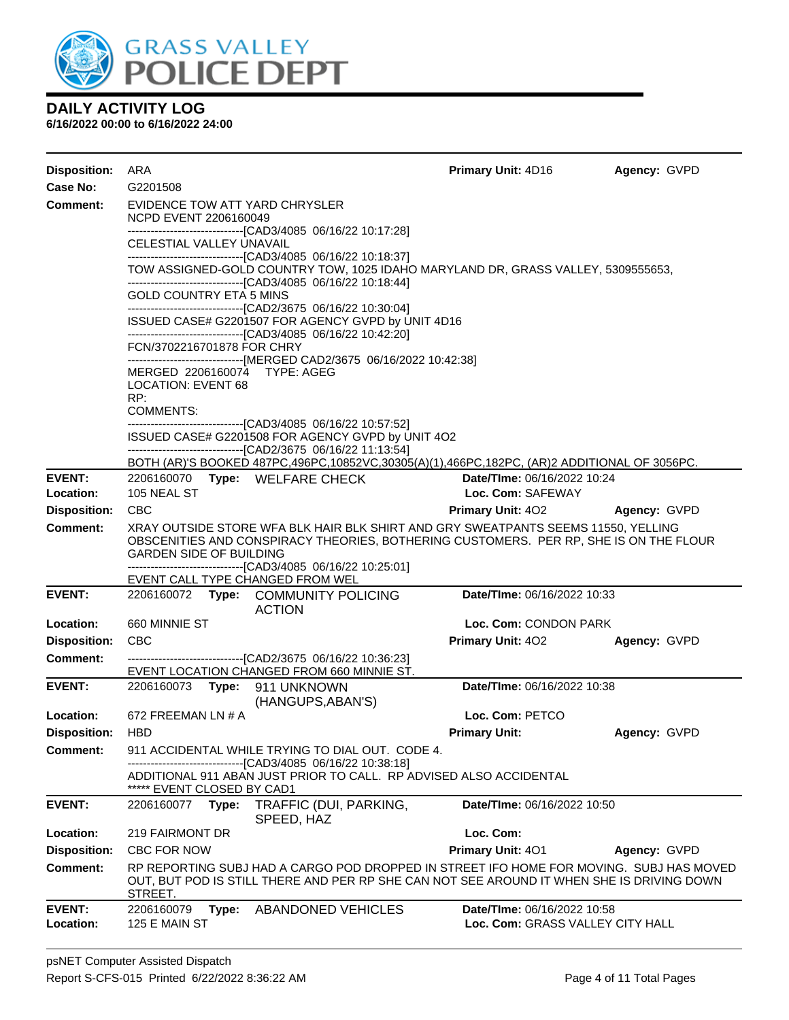

| <b>Disposition:</b>        | ARA                                                                                                            |                                                                                                                                                                                                                                                                                  | <b>Primary Unit: 4D16</b>                                       | Agency: GVPD |
|----------------------------|----------------------------------------------------------------------------------------------------------------|----------------------------------------------------------------------------------------------------------------------------------------------------------------------------------------------------------------------------------------------------------------------------------|-----------------------------------------------------------------|--------------|
| Case No:                   | G2201508                                                                                                       |                                                                                                                                                                                                                                                                                  |                                                                 |              |
| Comment:                   | EVIDENCE TOW ATT YARD CHRYSLER<br>NCPD EVENT 2206160049<br>CELESTIAL VALLEY UNAVAIL<br>GOLD COUNTRY ETA 5 MINS | -------------------------------[CAD3/4085 06/16/22 10:17:28]<br>-------------------------------[CAD3/4085 06/16/22 10:18:37]<br>TOW ASSIGNED-GOLD COUNTRY TOW, 1025 IDAHO MARYLAND DR, GRASS VALLEY, 5309555653,<br>-------------------------------[CAD3/4085 06/16/22 10:18:44] |                                                                 |              |
|                            | FCN/3702216701878 FOR CHRY                                                                                     | -------------------------------[CAD2/3675 06/16/22 10:30:04]<br>ISSUED CASE# G2201507 FOR AGENCY GVPD by UNIT 4D16<br>-------------------------------[CAD3/4085 06/16/22 10:42:20]                                                                                               |                                                                 |              |
|                            | MERGED 2206160074 TYPE: AGEG<br><b>LOCATION: EVENT 68</b><br>RP:                                               | ------------------------------[MERGED CAD2/3675 06/16/2022 10:42:38]                                                                                                                                                                                                             |                                                                 |              |
|                            | <b>COMMENTS:</b>                                                                                               |                                                                                                                                                                                                                                                                                  |                                                                 |              |
|                            |                                                                                                                | -------------------------------[CAD3/4085 06/16/22 10:57:52]<br>ISSUED CASE# G2201508 FOR AGENCY GVPD by UNIT 4O2<br>-------------------------------[CAD2/3675_06/16/22 11:13:54]                                                                                                |                                                                 |              |
|                            |                                                                                                                | BOTH (AR)'S BOOKED 487PC,496PC,10852VC,30305(A)(1),466PC,182PC, (AR)2 ADDITIONAL OF 3056PC.                                                                                                                                                                                      |                                                                 |              |
| <b>EVENT:</b><br>Location: | 105 NEAL ST                                                                                                    | 2206160070 Type: WELFARE CHECK                                                                                                                                                                                                                                                   | <b>Date/Time: 06/16/2022 10:24</b><br>Loc. Com: SAFEWAY         |              |
| <b>Disposition:</b>        | <b>CBC</b>                                                                                                     |                                                                                                                                                                                                                                                                                  | <b>Primary Unit: 402</b>                                        | Agency: GVPD |
| Comment:                   | <b>GARDEN SIDE OF BUILDING</b>                                                                                 | XRAY OUTSIDE STORE WFA BLK HAIR BLK SHIRT AND GRY SWEATPANTS SEEMS 11550, YELLING<br>OBSCENITIES AND CONSPIRACY THEORIES, BOTHERING CUSTOMERS. PER RP, SHE IS ON THE FLOUR                                                                                                       |                                                                 |              |
|                            | EVENT CALL TYPE CHANGED FROM WEL                                                                               | -------------------------------[CAD3/4085_06/16/22 10:25:01]                                                                                                                                                                                                                     |                                                                 |              |
| <b>EVENT:</b>              |                                                                                                                | 2206160072 Type: COMMUNITY POLICING<br><b>ACTION</b>                                                                                                                                                                                                                             | Date/TIme: 06/16/2022 10:33                                     |              |
| Location:                  | 660 MINNIE ST                                                                                                  |                                                                                                                                                                                                                                                                                  | Loc. Com: CONDON PARK                                           |              |
| <b>Disposition:</b>        | <b>CBC</b>                                                                                                     |                                                                                                                                                                                                                                                                                  | <b>Primary Unit: 402</b>                                        | Agency: GVPD |
| <b>Comment:</b>            |                                                                                                                | --------------------------------[CAD2/3675 06/16/22 10:36:23]<br>EVENT LOCATION CHANGED FROM 660 MINNIE ST.                                                                                                                                                                      |                                                                 |              |
| <b>EVENT:</b>              |                                                                                                                | (HANGUPS, ABAN'S)                                                                                                                                                                                                                                                                | Date/TIme: 06/16/2022 10:38                                     |              |
| Location:                  | 672 FREEMAN LN # A                                                                                             |                                                                                                                                                                                                                                                                                  | Loc. Com: PETCO                                                 |              |
| Disposition:               | <b>HBD</b>                                                                                                     |                                                                                                                                                                                                                                                                                  | <b>Primary Unit:</b>                                            | Agency: GVPD |
| Comment:                   |                                                                                                                | 911 ACCIDENTAL WHILE TRYING TO DIAL OUT. CODE 4.                                                                                                                                                                                                                                 |                                                                 |              |
|                            | ***** EVENT CLOSED BY CAD1                                                                                     | -------[CAD3/4085 06/16/22 10:38:18]<br>ADDITIONAL 911 ABAN JUST PRIOR TO CALL. RP ADVISED ALSO ACCIDENTAL                                                                                                                                                                       |                                                                 |              |
| <b>EVENT:</b>              | 2206160077<br>Type:                                                                                            | TRAFFIC (DUI, PARKING,<br>SPEED, HAZ                                                                                                                                                                                                                                             | Date/TIme: 06/16/2022 10:50                                     |              |
| Location:                  | 219 FAIRMONT DR                                                                                                |                                                                                                                                                                                                                                                                                  | Loc. Com:                                                       |              |
| <b>Disposition:</b>        | <b>CBC FOR NOW</b>                                                                                             |                                                                                                                                                                                                                                                                                  | Primary Unit: 401                                               | Agency: GVPD |
| Comment:                   | STREET.                                                                                                        | RP REPORTING SUBJ HAD A CARGO POD DROPPED IN STREET IFO HOME FOR MOVING. SUBJ HAS MOVED<br>OUT, BUT POD IS STILL THERE AND PER RP SHE CAN NOT SEE AROUND IT WHEN SHE IS DRIVING DOWN                                                                                             |                                                                 |              |
| <b>EVENT:</b><br>Location: | 2206160079<br>Type:<br>125 E MAIN ST                                                                           | <b>ABANDONED VEHICLES</b>                                                                                                                                                                                                                                                        | Date/TIme: 06/16/2022 10:58<br>Loc. Com: GRASS VALLEY CITY HALL |              |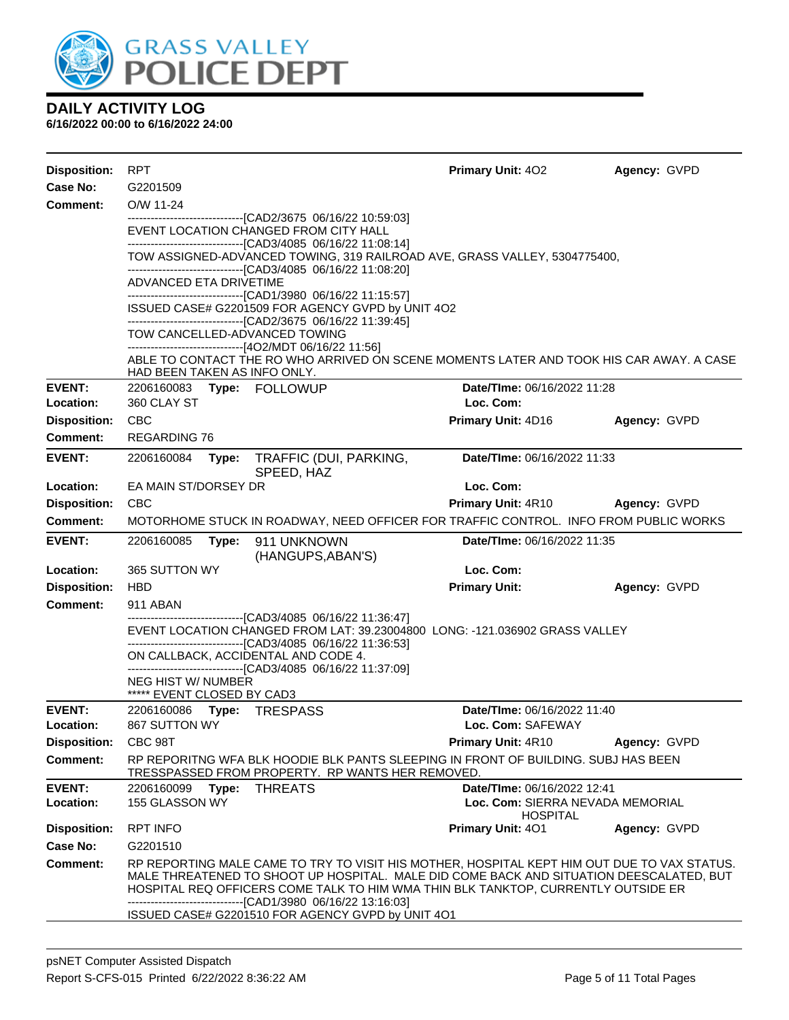

| <b>Disposition:</b>  | <b>RPT</b>                                              |       |                                                                                                                                                                                                                                                                                                                                                                                                   | Primary Unit: 402                                   | Agency: GVPD |
|----------------------|---------------------------------------------------------|-------|---------------------------------------------------------------------------------------------------------------------------------------------------------------------------------------------------------------------------------------------------------------------------------------------------------------------------------------------------------------------------------------------------|-----------------------------------------------------|--------------|
| Case No:<br>Comment: | G2201509<br>O/W 11-24                                   |       |                                                                                                                                                                                                                                                                                                                                                                                                   |                                                     |              |
|                      |                                                         |       | ---------------------------------[CAD2/3675 06/16/22 10:59:03]<br>EVENT LOCATION CHANGED FROM CITY HALL<br>-------------------------------[CAD3/4085 06/16/22 11:08:14]<br>TOW ASSIGNED-ADVANCED TOWING, 319 RAILROAD AVE, GRASS VALLEY, 5304775400,                                                                                                                                              |                                                     |              |
|                      | ADVANCED ETA DRIVETIME                                  |       | -------------------------------[CAD3/4085 06/16/22 11:08:20]<br>-------------------------------[CAD1/3980 06/16/22 11:15:57]                                                                                                                                                                                                                                                                      |                                                     |              |
|                      |                                                         |       | ISSUED CASE# G2201509 FOR AGENCY GVPD by UNIT 4O2                                                                                                                                                                                                                                                                                                                                                 |                                                     |              |
|                      |                                                         |       | -------------------------------[CAD2/3675 06/16/22 11:39:45]<br>TOW CANCELLED-ADVANCED TOWING<br>---------------------------------[4O2/MDT 06/16/22 11:56]                                                                                                                                                                                                                                        |                                                     |              |
|                      | HAD BEEN TAKEN AS INFO ONLY.                            |       | ABLE TO CONTACT THE RO WHO ARRIVED ON SCENE MOMENTS LATER AND TOOK HIS CAR AWAY. A CASE                                                                                                                                                                                                                                                                                                           |                                                     |              |
| <b>EVENT:</b>        |                                                         |       | 2206160083 Type: FOLLOWUP                                                                                                                                                                                                                                                                                                                                                                         | Date/TIme: 06/16/2022 11:28                         |              |
| Location:            | 360 CLAY ST                                             |       |                                                                                                                                                                                                                                                                                                                                                                                                   | Loc. Com:                                           |              |
| <b>Disposition:</b>  | CBC                                                     |       |                                                                                                                                                                                                                                                                                                                                                                                                   | Primary Unit: 4D16                                  | Agency: GVPD |
| Comment:             | <b>REGARDING 76</b>                                     |       |                                                                                                                                                                                                                                                                                                                                                                                                   |                                                     |              |
| <b>EVENT:</b>        | 2206160084                                              | Type: | TRAFFIC (DUI, PARKING,<br>SPEED, HAZ                                                                                                                                                                                                                                                                                                                                                              | Date/TIme: 06/16/2022 11:33                         |              |
| Location:            | EA MAIN ST/DORSEY DR                                    |       |                                                                                                                                                                                                                                                                                                                                                                                                   | Loc. Com:                                           |              |
| <b>Disposition:</b>  | <b>CBC</b>                                              |       |                                                                                                                                                                                                                                                                                                                                                                                                   | <b>Primary Unit: 4R10</b>                           | Agency: GVPD |
| Comment:             |                                                         |       | MOTORHOME STUCK IN ROADWAY, NEED OFFICER FOR TRAFFIC CONTROL. INFO FROM PUBLIC WORKS                                                                                                                                                                                                                                                                                                              |                                                     |              |
| <b>EVENT:</b>        | 2206160085                                              | Type: | 911 UNKNOWN<br>(HANGUPS, ABAN'S)                                                                                                                                                                                                                                                                                                                                                                  | <b>Date/Time: 06/16/2022 11:35</b>                  |              |
| Location:            | 365 SUTTON WY                                           |       |                                                                                                                                                                                                                                                                                                                                                                                                   | Loc. Com:                                           |              |
| <b>Disposition:</b>  | <b>HBD</b>                                              |       |                                                                                                                                                                                                                                                                                                                                                                                                   | <b>Primary Unit:</b>                                | Agency: GVPD |
| <b>Comment:</b>      | 911 ABAN                                                |       | --------------------------------[CAD3/4085 06/16/22 11:36:47]                                                                                                                                                                                                                                                                                                                                     |                                                     |              |
|                      |                                                         |       | EVENT LOCATION CHANGED FROM LAT: 39.23004800 LONG: -121.036902 GRASS VALLEY<br>-------------------------------[CAD3/4085 06/16/22 11:36:53]                                                                                                                                                                                                                                                       |                                                     |              |
|                      |                                                         |       | ON CALLBACK, ACCIDENTAL AND CODE 4.                                                                                                                                                                                                                                                                                                                                                               |                                                     |              |
|                      | <b>NEG HIST W/ NUMBER</b><br>***** EVENT CLOSED BY CAD3 |       | -------------------------------[CAD3/4085 06/16/22 11:37:09]                                                                                                                                                                                                                                                                                                                                      |                                                     |              |
| <b>EVENT:</b>        | 2206160086                                              |       | Type: TRESPASS                                                                                                                                                                                                                                                                                                                                                                                    | Date/TIme: 06/16/2022 11:40                         |              |
| Location:            | 867 SUTTON WY                                           |       |                                                                                                                                                                                                                                                                                                                                                                                                   | Loc. Com: SAFEWAY                                   |              |
| <b>Disposition:</b>  | CBC 98T                                                 |       |                                                                                                                                                                                                                                                                                                                                                                                                   | Primary Unit: 4R10                                  | Agency: GVPD |
| <b>Comment:</b>      |                                                         |       | RP REPORITNG WFA BLK HOODIE BLK PANTS SLEEPING IN FRONT OF BUILDING. SUBJ HAS BEEN<br>TRESSPASSED FROM PROPERTY. RP WANTS HER REMOVED.                                                                                                                                                                                                                                                            |                                                     |              |
| <b>EVENT:</b>        | 2206160099                                              | Type: | <b>THREATS</b>                                                                                                                                                                                                                                                                                                                                                                                    | Date/TIme: 06/16/2022 12:41                         |              |
| Location:            | 155 GLASSON WY                                          |       |                                                                                                                                                                                                                                                                                                                                                                                                   | Loc. Com: SIERRA NEVADA MEMORIAL<br><b>HOSPITAL</b> |              |
| <b>Disposition:</b>  | <b>RPT INFO</b>                                         |       |                                                                                                                                                                                                                                                                                                                                                                                                   | <b>Primary Unit: 401</b>                            | Agency: GVPD |
| Case No:             | G2201510                                                |       |                                                                                                                                                                                                                                                                                                                                                                                                   |                                                     |              |
| Comment:             |                                                         |       | RP REPORTING MALE CAME TO TRY TO VISIT HIS MOTHER, HOSPITAL KEPT HIM OUT DUE TO VAX STATUS.<br>MALE THREATENED TO SHOOT UP HOSPITAL. MALE DID COME BACK AND SITUATION DEESCALATED, BUT<br>HOSPITAL REQ OFFICERS COME TALK TO HIM WMA THIN BLK TANKTOP, CURRENTLY OUTSIDE ER<br>--------------------------------[CAD1/3980 06/16/22 13:16:03]<br>ISSUED CASE# G2201510 FOR AGENCY GVPD by UNIT 4O1 |                                                     |              |
|                      |                                                         |       |                                                                                                                                                                                                                                                                                                                                                                                                   |                                                     |              |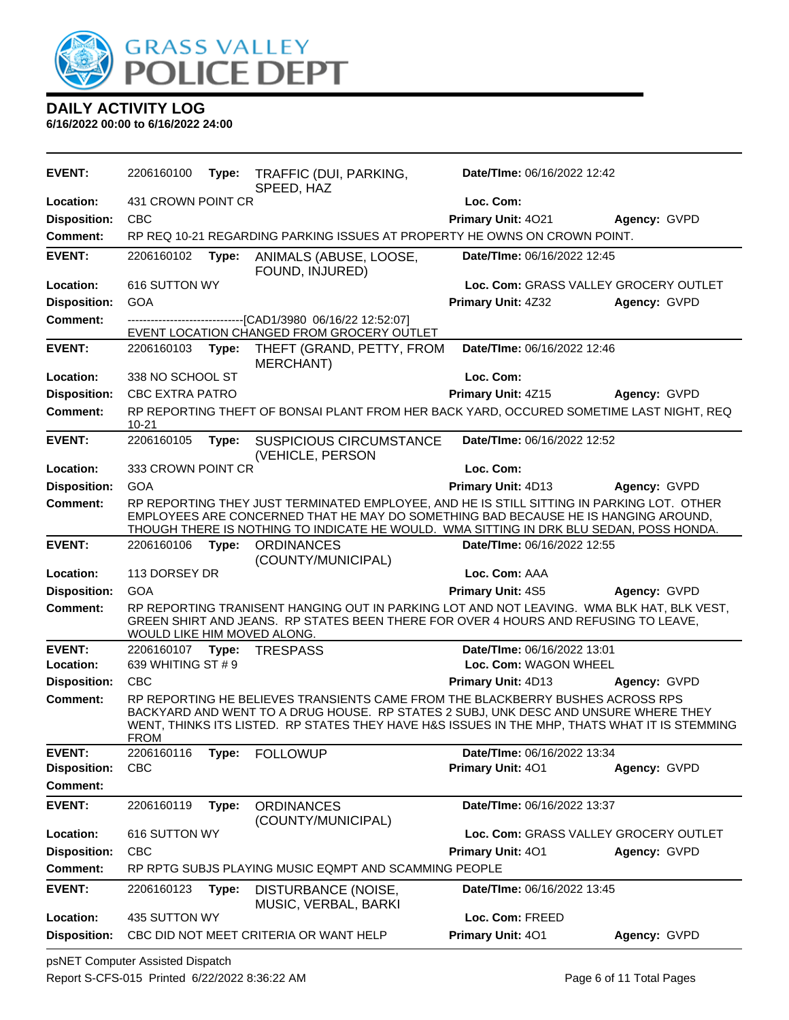

**6/16/2022 00:00 to 6/16/2022 24:00**

| <b>EVENT:</b>              | 2206160100                       | Type: | TRAFFIC (DUI, PARKING,<br>SPEED, HAZ                                                                                                                                                                                                                                       | Date/TIme: 06/16/2022 12:42                          |              |
|----------------------------|----------------------------------|-------|----------------------------------------------------------------------------------------------------------------------------------------------------------------------------------------------------------------------------------------------------------------------------|------------------------------------------------------|--------------|
| Location:                  | 431 CROWN POINT CR               |       |                                                                                                                                                                                                                                                                            | Loc. Com:                                            |              |
| <b>Disposition:</b>        | <b>CBC</b>                       |       |                                                                                                                                                                                                                                                                            | Primary Unit: 4021                                   | Agency: GVPD |
| <b>Comment:</b>            |                                  |       | RP REQ 10-21 REGARDING PARKING ISSUES AT PROPERTY HE OWNS ON CROWN POINT.                                                                                                                                                                                                  |                                                      |              |
| <b>EVENT:</b>              | 2206160102                       | Type: | ANIMALS (ABUSE, LOOSE,<br>FOUND, INJURED)                                                                                                                                                                                                                                  | Date/TIme: 06/16/2022 12:45                          |              |
| Location:                  | 616 SUTTON WY                    |       |                                                                                                                                                                                                                                                                            | Loc. Com: GRASS VALLEY GROCERY OUTLET                |              |
| <b>Disposition:</b>        | GOA                              |       |                                                                                                                                                                                                                                                                            | Primary Unit: 4Z32                                   | Agency: GVPD |
| <b>Comment:</b>            |                                  |       | --------------------------------[CAD1/3980 06/16/22 12:52:07]<br>EVENT LOCATION CHANGED FROM GROCERY OUTLET                                                                                                                                                                |                                                      |              |
| <b>EVENT:</b>              | 2206160103                       | Type: | THEFT (GRAND, PETTY, FROM<br><b>MERCHANT)</b>                                                                                                                                                                                                                              | Date/TIme: 06/16/2022 12:46                          |              |
| Location:                  | 338 NO SCHOOL ST                 |       |                                                                                                                                                                                                                                                                            | Loc. Com:                                            |              |
| <b>Disposition:</b>        | <b>CBC EXTRA PATRO</b>           |       |                                                                                                                                                                                                                                                                            | Primary Unit: 4Z15                                   | Agency: GVPD |
| <b>Comment:</b>            | $10 - 21$                        |       | RP REPORTING THEFT OF BONSAI PLANT FROM HER BACK YARD, OCCURED SOMETIME LAST NIGHT, REQ                                                                                                                                                                                    |                                                      |              |
| <b>EVENT:</b>              | 2206160105                       | Type: | <b>SUSPICIOUS CIRCUMSTANCE</b><br>(VEHICLE, PERSON                                                                                                                                                                                                                         | Date/TIme: 06/16/2022 12:52                          |              |
| Location:                  | 333 CROWN POINT CR               |       |                                                                                                                                                                                                                                                                            | Loc. Com:                                            |              |
| <b>Disposition:</b>        | <b>GOA</b>                       |       |                                                                                                                                                                                                                                                                            | Primary Unit: 4D13                                   | Agency: GVPD |
| <b>Comment:</b>            |                                  |       | RP REPORTING THEY JUST TERMINATED EMPLOYEE, AND HE IS STILL SITTING IN PARKING LOT. OTHER<br>EMPLOYEES ARE CONCERNED THAT HE MAY DO SOMETHING BAD BECAUSE HE IS HANGING AROUND,<br>THOUGH THERE IS NOTHING TO INDICATE HE WOULD. WMA SITTING IN DRK BLU SEDAN, POSS HONDA. |                                                      |              |
| <b>EVENT:</b>              | 2206160106                       | Type: | <b>ORDINANCES</b><br>(COUNTY/MUNICIPAL)                                                                                                                                                                                                                                    | Date/TIme: 06/16/2022 12:55                          |              |
| Location:                  | 113 DORSEY DR                    |       |                                                                                                                                                                                                                                                                            | Loc. Com: AAA                                        |              |
| <b>Disposition:</b>        | GOA                              |       |                                                                                                                                                                                                                                                                            | Primary Unit: 4S5                                    | Agency: GVPD |
| <b>Comment:</b>            | WOULD LIKE HIM MOVED ALONG.      |       | RP REPORTING TRANISENT HANGING OUT IN PARKING LOT AND NOT LEAVING. WMA BLK HAT, BLK VEST,<br>GREEN SHIRT AND JEANS. RP STATES BEEN THERE FOR OVER 4 HOURS AND REFUSING TO LEAVE,                                                                                           |                                                      |              |
| <b>EVENT:</b><br>Location: | 2206160107<br>639 WHITING ST # 9 | Type: | <b>TRESPASS</b>                                                                                                                                                                                                                                                            | Date/TIme: 06/16/2022 13:01<br>Loc. Com: WAGON WHEEL |              |
| <b>Disposition:</b>        | CBC                              |       |                                                                                                                                                                                                                                                                            | Primary Unit: 4D13                                   | Agency: GVPD |
| <b>Comment:</b>            | FROM                             |       | RP REPORTING HE BELIEVES TRANSIENTS CAME FROM THE BLACKBERRY BUSHES ACROSS RPS<br>BACKYARD AND WENT TO A DRUG HOUSE. RP STATES 2 SUBJ, UNK DESC AND UNSURE WHERE THEY<br>WENT, THINKS ITS LISTED. RP STATES THEY HAVE H&S ISSUES IN THE MHP, THATS WHAT IT IS STEMMING     |                                                      |              |
| <b>EVENT:</b>              | 2206160116                       | Type: | <b>FOLLOWUP</b>                                                                                                                                                                                                                                                            | Date/TIme: 06/16/2022 13:34                          |              |
| <b>Disposition:</b>        | <b>CBC</b>                       |       |                                                                                                                                                                                                                                                                            | Primary Unit: 401                                    | Agency: GVPD |
| <b>Comment:</b>            |                                  |       |                                                                                                                                                                                                                                                                            |                                                      |              |
| <b>EVENT:</b>              | 2206160119                       | Type: | <b>ORDINANCES</b><br>(COUNTY/MUNICIPAL)                                                                                                                                                                                                                                    | Date/TIme: 06/16/2022 13:37                          |              |
| Location:                  | 616 SUTTON WY                    |       |                                                                                                                                                                                                                                                                            | Loc. Com: GRASS VALLEY GROCERY OUTLET                |              |
| <b>Disposition:</b>        | <b>CBC</b>                       |       |                                                                                                                                                                                                                                                                            | Primary Unit: 401                                    | Agency: GVPD |
| <b>Comment:</b>            |                                  |       | RP RPTG SUBJS PLAYING MUSIC EQMPT AND SCAMMING PEOPLE                                                                                                                                                                                                                      |                                                      |              |
| <b>EVENT:</b>              | 2206160123                       | Type: | DISTURBANCE (NOISE,<br>MUSIC, VERBAL, BARKI                                                                                                                                                                                                                                | Date/TIme: 06/16/2022 13:45                          |              |
| Location:                  | 435 SUTTON WY                    |       |                                                                                                                                                                                                                                                                            | Loc. Com: FREED                                      |              |
| <b>Disposition:</b>        |                                  |       | CBC DID NOT MEET CRITERIA OR WANT HELP                                                                                                                                                                                                                                     | Primary Unit: 401                                    | Agency: GVPD |

psNET Computer Assisted Dispatch Report S-CFS-015 Printed 6/22/2022 8:36:22 AM Page 6 of 11 Total Pages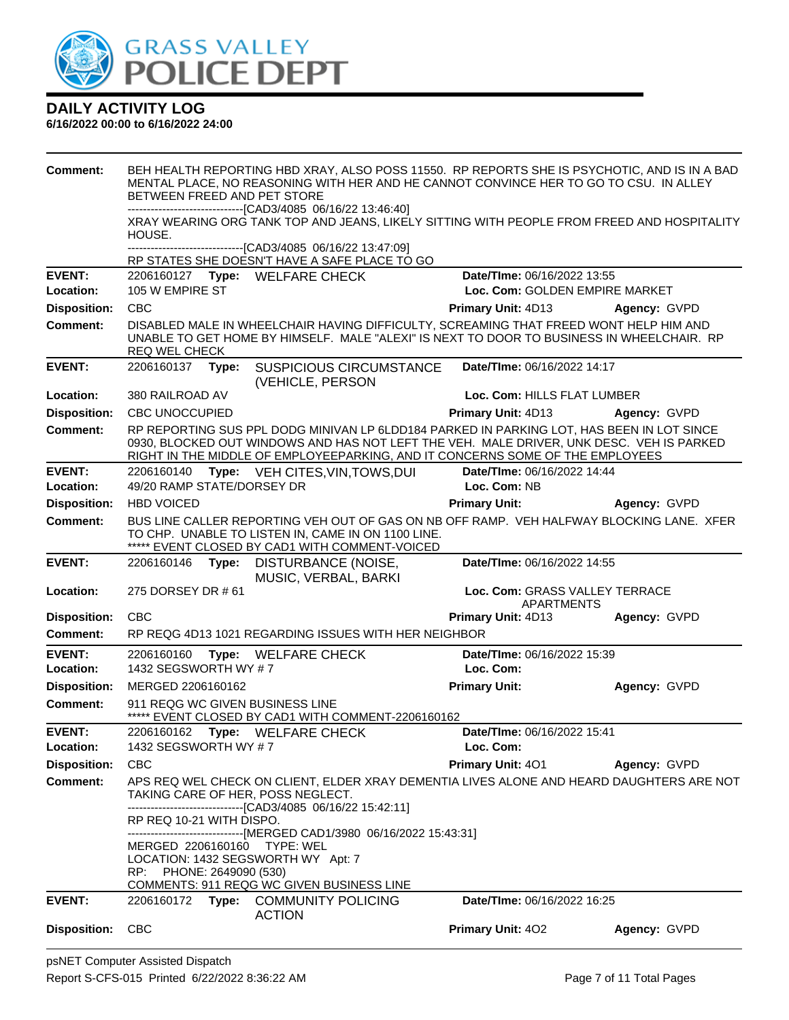

| <b>Comment:</b>            | BEH HEALTH REPORTING HBD XRAY, ALSO POSS 11550. RP REPORTS SHE IS PSYCHOTIC, AND IS IN A BAD<br>MENTAL PLACE, NO REASONING WITH HER AND HE CANNOT CONVINCE HER TO GO TO CSU. IN ALLEY<br>BETWEEN FREED AND PET STORE<br>-------------------------------[CAD3/4085 06/16/22 13:46:40] |       |                                                                                                                                                                                                                                                                        |                                              |              |
|----------------------------|--------------------------------------------------------------------------------------------------------------------------------------------------------------------------------------------------------------------------------------------------------------------------------------|-------|------------------------------------------------------------------------------------------------------------------------------------------------------------------------------------------------------------------------------------------------------------------------|----------------------------------------------|--------------|
|                            |                                                                                                                                                                                                                                                                                      |       | XRAY WEARING ORG TANK TOP AND JEANS, LIKELY SITTING WITH PEOPLE FROM FREED AND HOSPITALITY                                                                                                                                                                             |                                              |              |
|                            | HOUSE.                                                                                                                                                                                                                                                                               |       |                                                                                                                                                                                                                                                                        |                                              |              |
|                            |                                                                                                                                                                                                                                                                                      |       | --------------------------------[CAD3/4085 06/16/22 13:47:09]<br>RP STATES SHE DOESN'T HAVE A SAFE PLACE TO GO                                                                                                                                                         |                                              |              |
| <b>EVENT:</b>              |                                                                                                                                                                                                                                                                                      |       | 2206160127 Type: WELFARE CHECK                                                                                                                                                                                                                                         | Date/TIme: 06/16/2022 13:55                  |              |
| Location:                  | 105 W EMPIRE ST                                                                                                                                                                                                                                                                      |       |                                                                                                                                                                                                                                                                        | Loc. Com: GOLDEN EMPIRE MARKET               |              |
| <b>Disposition:</b>        | <b>CBC</b>                                                                                                                                                                                                                                                                           |       |                                                                                                                                                                                                                                                                        | Primary Unit: 4D13                           | Agency: GVPD |
| Comment:                   | <b>REQ WEL CHECK</b>                                                                                                                                                                                                                                                                 |       | DISABLED MALE IN WHEELCHAIR HAVING DIFFICULTY, SCREAMING THAT FREED WONT HELP HIM AND<br>UNABLE TO GET HOME BY HIMSELF. MALE "ALEXI" IS NEXT TO DOOR TO BUSINESS IN WHEELCHAIR. RP                                                                                     |                                              |              |
| <b>EVENT:</b>              | 2206160137 Type:                                                                                                                                                                                                                                                                     |       | <b>SUSPICIOUS CIRCUMSTANCE</b><br>(VEHICLE, PERSON                                                                                                                                                                                                                     | Date/TIme: 06/16/2022 14:17                  |              |
| Location:                  | 380 RAILROAD AV                                                                                                                                                                                                                                                                      |       |                                                                                                                                                                                                                                                                        | Loc. Com: HILLS FLAT LUMBER                  |              |
| <b>Disposition:</b>        | <b>CBC UNOCCUPIED</b>                                                                                                                                                                                                                                                                |       |                                                                                                                                                                                                                                                                        | Primary Unit: 4D13                           | Agency: GVPD |
| <b>Comment:</b>            |                                                                                                                                                                                                                                                                                      |       | RP REPORTING SUS PPL DODG MINIVAN LP 6LDD184 PARKED IN PARKING LOT, HAS BEEN IN LOT SINCE<br>0930, BLOCKED OUT WINDOWS AND HAS NOT LEFT THE VEH. MALE DRIVER, UNK DESC. VEH IS PARKED<br>RIGHT IN THE MIDDLE OF EMPLOYEEPARKING, AND IT CONCERNS SOME OF THE EMPLOYEES |                                              |              |
| <b>EVENT:</b>              | 2206160140                                                                                                                                                                                                                                                                           |       | Type: VEH CITES, VIN, TOWS, DUI                                                                                                                                                                                                                                        | Date/TIme: 06/16/2022 14:44                  |              |
| Location:                  | 49/20 RAMP STATE/DORSEY DR                                                                                                                                                                                                                                                           |       |                                                                                                                                                                                                                                                                        | Loc. Com: NB                                 |              |
| <b>Disposition:</b>        | <b>HBD VOICED</b>                                                                                                                                                                                                                                                                    |       |                                                                                                                                                                                                                                                                        | <b>Primary Unit:</b>                         | Agency: GVPD |
| <b>Comment:</b>            |                                                                                                                                                                                                                                                                                      |       | BUS LINE CALLER REPORTING VEH OUT OF GAS ON NB OFF RAMP. VEH HALFWAY BLOCKING LANE. XFER<br>TO CHP. UNABLE TO LISTEN IN, CAME IN ON 1100 LINE.<br>***** EVENT CLOSED BY CAD1 WITH COMMENT-VOICED                                                                       |                                              |              |
| <b>EVENT:</b>              | 2206160146                                                                                                                                                                                                                                                                           | Type: | DISTURBANCE (NOISE,<br>MUSIC, VERBAL, BARKI                                                                                                                                                                                                                            | Date/TIme: 06/16/2022 14:55                  |              |
| Location:                  | 275 DORSEY DR # 61                                                                                                                                                                                                                                                                   |       |                                                                                                                                                                                                                                                                        | Loc. Com: GRASS VALLEY TERRACE<br>APARTMENTS |              |
| <b>Disposition:</b>        | <b>CBC</b>                                                                                                                                                                                                                                                                           |       |                                                                                                                                                                                                                                                                        | <b>Primary Unit: 4D13</b>                    | Agency: GVPD |
| Comment:                   |                                                                                                                                                                                                                                                                                      |       | RP REQG 4D13 1021 REGARDING ISSUES WITH HER NEIGHBOR                                                                                                                                                                                                                   |                                              |              |
| <b>EVENT:</b>              |                                                                                                                                                                                                                                                                                      |       | 2206160160 Type: WELFARE CHECK                                                                                                                                                                                                                                         | Date/TIme: 06/16/2022 15:39                  |              |
| Location:                  | 1432 SEGSWORTH WY #7                                                                                                                                                                                                                                                                 |       |                                                                                                                                                                                                                                                                        | Loc. Com:                                    |              |
| <b>Disposition:</b>        | MERGED 2206160162                                                                                                                                                                                                                                                                    |       |                                                                                                                                                                                                                                                                        | <b>Primary Unit:</b>                         | Agency: GVPD |
| <b>Comment:</b>            |                                                                                                                                                                                                                                                                                      |       | 911 REQG WC GIVEN BUSINESS LINE<br>EVENT CLOSED BY CAD1 WITH COMMENT-2206160162                                                                                                                                                                                        |                                              |              |
| <b>EVENT:</b><br>Location: | 2206160162<br>1432 SEGSWORTH WY #7                                                                                                                                                                                                                                                   |       | Type: WELFARE CHECK                                                                                                                                                                                                                                                    | Date/TIme: 06/16/2022 15:41<br>Loc. Com:     |              |
| <b>Disposition:</b>        | <b>CBC</b>                                                                                                                                                                                                                                                                           |       |                                                                                                                                                                                                                                                                        | Primary Unit: 401                            | Agency: GVPD |
| <b>Comment:</b>            |                                                                                                                                                                                                                                                                                      |       | APS REQ WEL CHECK ON CLIENT, ELDER XRAY DEMENTIA LIVES ALONE AND HEARD DAUGHTERS ARE NOT                                                                                                                                                                               |                                              |              |
|                            |                                                                                                                                                                                                                                                                                      |       | TAKING CARE OF HER, POSS NEGLECT.<br>--------------------------------[CAD3/4085_06/16/22 15:42:11]                                                                                                                                                                     |                                              |              |
|                            | RP REQ 10-21 WITH DISPO.                                                                                                                                                                                                                                                             |       |                                                                                                                                                                                                                                                                        |                                              |              |
|                            |                                                                                                                                                                                                                                                                                      |       | ------------------------------[MERGED CAD1/3980_06/16/2022 15:43:31]                                                                                                                                                                                                   |                                              |              |
|                            |                                                                                                                                                                                                                                                                                      |       | MERGED 2206160160 TYPE: WEL<br>LOCATION: 1432 SEGSWORTH WY Apt: 7                                                                                                                                                                                                      |                                              |              |
|                            | RP: PHONE: 2649090 (530)                                                                                                                                                                                                                                                             |       |                                                                                                                                                                                                                                                                        |                                              |              |
|                            |                                                                                                                                                                                                                                                                                      |       | COMMENTS: 911 REQG WC GIVEN BUSINESS LINE                                                                                                                                                                                                                              |                                              |              |
| <b>EVENT:</b>              |                                                                                                                                                                                                                                                                                      |       | 2206160172 Type: COMMUNITY POLICING                                                                                                                                                                                                                                    | Date/TIme: 06/16/2022 16:25                  |              |
|                            |                                                                                                                                                                                                                                                                                      |       | <b>ACTION</b>                                                                                                                                                                                                                                                          |                                              |              |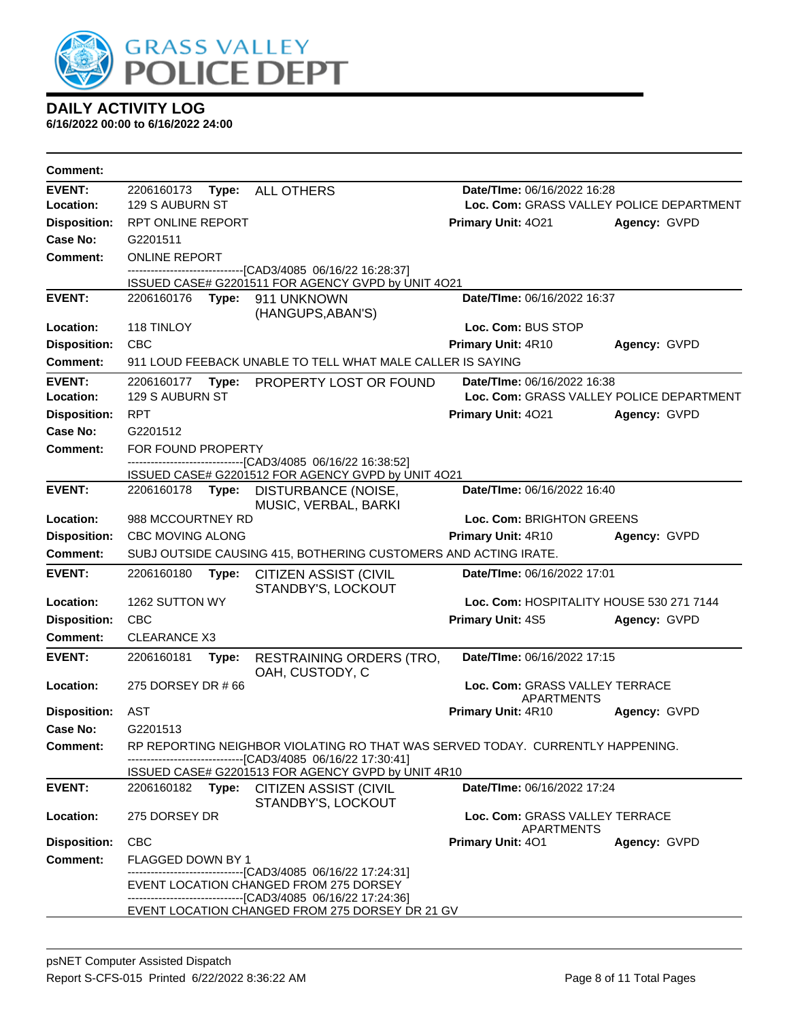

| <b>Comment:</b>     |                          |                                                                                                                    |                                                     |                                          |  |
|---------------------|--------------------------|--------------------------------------------------------------------------------------------------------------------|-----------------------------------------------------|------------------------------------------|--|
| <b>EVENT:</b>       | 2206160173               | Type: ALL OTHERS                                                                                                   |                                                     | Date/TIme: 06/16/2022 16:28              |  |
| Location:           | 129 S AUBURN ST          |                                                                                                                    |                                                     | Loc. Com: GRASS VALLEY POLICE DEPARTMENT |  |
| <b>Disposition:</b> | RPT ONLINE REPORT        |                                                                                                                    | <b>Primary Unit: 4021</b>                           | Agency: GVPD                             |  |
| Case No:            | G2201511                 |                                                                                                                    |                                                     |                                          |  |
| <b>Comment:</b>     | <b>ONLINE REPORT</b>     |                                                                                                                    |                                                     |                                          |  |
|                     |                          | -------------------------------[CAD3/4085 06/16/22 16:28:37]<br>ISSUED CASE# G2201511 FOR AGENCY GVPD by UNIT 4O21 |                                                     |                                          |  |
| <b>EVENT:</b>       | 2206160176 Type:         | 911 UNKNOWN                                                                                                        | Date/TIme: 06/16/2022 16:37                         |                                          |  |
|                     |                          | (HANGUPS, ABAN'S)                                                                                                  |                                                     |                                          |  |
| Location:           | 118 TINLOY               |                                                                                                                    | Loc. Com: BUS STOP                                  |                                          |  |
| <b>Disposition:</b> | <b>CBC</b>               |                                                                                                                    | Primary Unit: 4R10                                  | Agency: GVPD                             |  |
| Comment:            |                          | 911 LOUD FEEBACK UNABLE TO TELL WHAT MALE CALLER IS SAYING                                                         |                                                     |                                          |  |
| <b>EVENT:</b>       | 2206160177<br>Type:      | PROPERTY LOST OR FOUND                                                                                             | Date/TIme: 06/16/2022 16:38                         |                                          |  |
| Location:           | 129 S AUBURN ST          |                                                                                                                    |                                                     | Loc. Com: GRASS VALLEY POLICE DEPARTMENT |  |
| <b>Disposition:</b> | <b>RPT</b>               |                                                                                                                    | Primary Unit: 4021                                  | Agency: GVPD                             |  |
| <b>Case No:</b>     | G2201512                 |                                                                                                                    |                                                     |                                          |  |
| Comment:            | FOR FOUND PROPERTY       | ---------------------[CAD3/4085_06/16/22 16:38:52]                                                                 |                                                     |                                          |  |
|                     |                          | ISSUED CASE# G2201512 FOR AGENCY GVPD by UNIT 4O21                                                                 |                                                     |                                          |  |
| <b>EVENT:</b>       | 2206160178<br>Type:      | DISTURBANCE (NOISE,<br>MUSIC, VERBAL, BARKI                                                                        | Date/TIme: 06/16/2022 16:40                         |                                          |  |
| Location:           | 988 MCCOURTNEY RD        |                                                                                                                    | Loc. Com: BRIGHTON GREENS                           |                                          |  |
| <b>Disposition:</b> | <b>CBC MOVING ALONG</b>  |                                                                                                                    | Primary Unit: 4R10                                  | Agency: GVPD                             |  |
| <b>Comment:</b>     |                          | SUBJ OUTSIDE CAUSING 415, BOTHERING CUSTOMERS AND ACTING IRATE.                                                    |                                                     |                                          |  |
| EVENT:              | 2206160180<br>Type:      | <b>CITIZEN ASSIST (CIVIL</b><br>STANDBY'S, LOCKOUT                                                                 | Date/TIme: 06/16/2022 17:01                         |                                          |  |
| Location:           | 1262 SUTTON WY           |                                                                                                                    | Loc. Com: HOSPITALITY HOUSE 530 271 7144            |                                          |  |
| <b>Disposition:</b> | <b>CBC</b>               |                                                                                                                    | Primary Unit: 4S5                                   | Agency: GVPD                             |  |
| Comment:            | <b>CLEARANCE X3</b>      |                                                                                                                    |                                                     |                                          |  |
| <b>EVENT:</b>       | 2206160181<br>Type:      | RESTRAINING ORDERS (TRO,<br>OAH, CUSTODY, C                                                                        | Date/TIme: 06/16/2022 17:15                         |                                          |  |
| Location:           | 275 DORSEY DR # 66       |                                                                                                                    | Loc. Com: GRASS VALLEY TERRACE<br><b>APARTMENTS</b> |                                          |  |
| <b>Disposition:</b> | AST                      |                                                                                                                    | <b>Primary Unit: 4R10</b>                           | Agency: GVPD                             |  |
| Case No:            | G2201513                 |                                                                                                                    |                                                     |                                          |  |
| <b>Comment:</b>     |                          | RP REPORTING NEIGHBOR VIOLATING RO THAT WAS SERVED TODAY. CURRENTLY HAPPENING.                                     |                                                     |                                          |  |
|                     |                          | --[CAD3/4085 06/16/22 17:30:41]<br>ISSUED CASE# G2201513 FOR AGENCY GVPD by UNIT 4R10                              |                                                     |                                          |  |
| <b>EVENT:</b>       | 2206160182               | Type: CITIZEN ASSIST (CIVIL                                                                                        | <b>Date/TIme: 06/16/2022 17:24</b>                  |                                          |  |
|                     |                          | STANDBY'S, LOCKOUT                                                                                                 |                                                     |                                          |  |
| Location:           | 275 DORSEY DR            |                                                                                                                    | Loc. Com: GRASS VALLEY TERRACE<br><b>APARTMENTS</b> |                                          |  |
| <b>Disposition:</b> | <b>CBC</b>               |                                                                                                                    | <b>Primary Unit: 401</b>                            | Agency: GVPD                             |  |
| <b>Comment:</b>     | <b>FLAGGED DOWN BY 1</b> |                                                                                                                    |                                                     |                                          |  |
|                     |                          | --------------------------------[CAD3/4085 06/16/22 17:24:31]                                                      |                                                     |                                          |  |
|                     |                          | EVENT LOCATION CHANGED FROM 275 DORSEY<br>-------------------------------[CAD3/4085 06/16/22 17:24:36]             |                                                     |                                          |  |
|                     |                          | EVENT LOCATION CHANGED FROM 275 DORSEY DR 21 GV                                                                    |                                                     |                                          |  |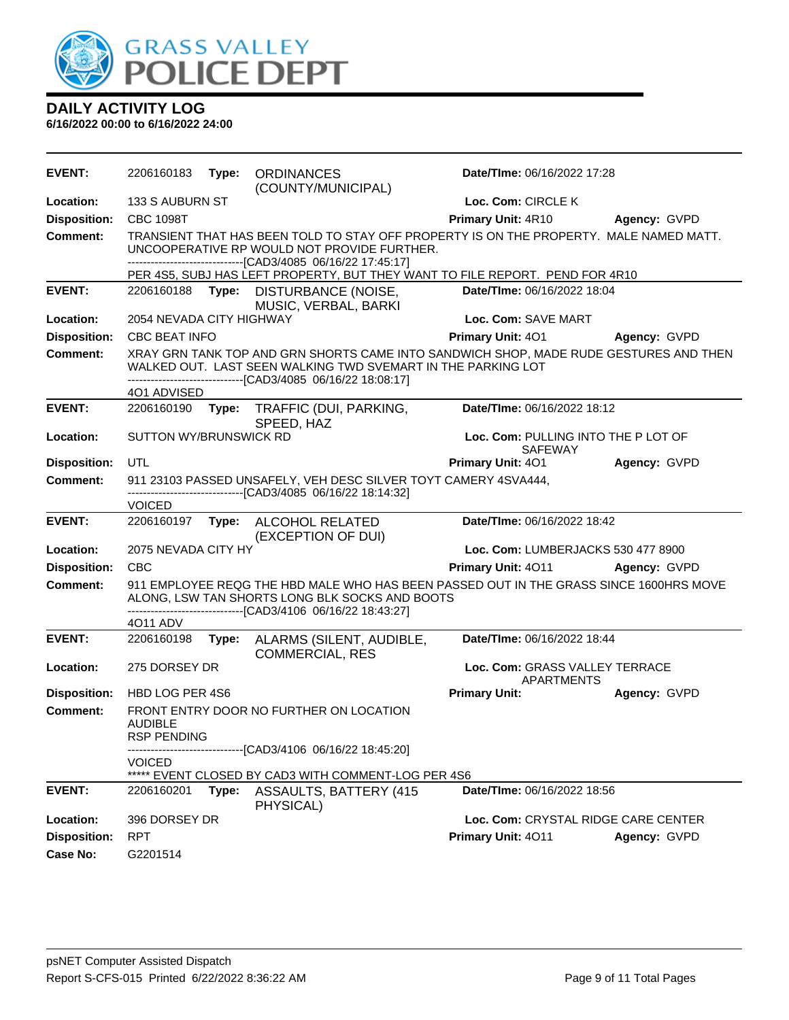

| <b>EVENT:</b>       | 2206160183                   | Type: | <b>ORDINANCES</b><br>(COUNTY/MUNICIPAL)                                                                                                                                                                               | Date/Time: 06/16/2022 17:28                           |              |
|---------------------|------------------------------|-------|-----------------------------------------------------------------------------------------------------------------------------------------------------------------------------------------------------------------------|-------------------------------------------------------|--------------|
| Location:           | 133 S AUBURN ST              |       |                                                                                                                                                                                                                       | Loc. Com: CIRCLE K                                    |              |
| <b>Disposition:</b> | <b>CBC 1098T</b>             |       |                                                                                                                                                                                                                       | Primary Unit: 4R10                                    | Agency: GVPD |
| Comment:            |                              |       | TRANSIENT THAT HAS BEEN TOLD TO STAY OFF PROPERTY IS ON THE PROPERTY. MALE NAMED MATT.<br>UNCOOPERATIVE RP WOULD NOT PROVIDE FURTHER.<br>-------------------------------[CAD3/4085 06/16/22 17:45:17]                 |                                                       |              |
|                     |                              |       | PER 4S5, SUBJ HAS LEFT PROPERTY, BUT THEY WANT TO FILE REPORT. PEND FOR 4R10                                                                                                                                          |                                                       |              |
| <b>EVENT:</b>       |                              |       | 2206160188 Type: DISTURBANCE (NOISE,<br>MUSIC, VERBAL, BARKI                                                                                                                                                          | Date/TIme: 06/16/2022 18:04                           |              |
| Location:           | 2054 NEVADA CITY HIGHWAY     |       |                                                                                                                                                                                                                       | Loc. Com: SAVE MART                                   |              |
| <b>Disposition:</b> | <b>CBC BEAT INFO</b>         |       |                                                                                                                                                                                                                       | Primary Unit: 401                                     | Agency: GVPD |
| <b>Comment:</b>     |                              |       | XRAY GRN TANK TOP AND GRN SHORTS CAME INTO SANDWICH SHOP, MADE RUDE GESTURES AND THEN<br>WALKED OUT. LAST SEEN WALKING TWD SVEMART IN THE PARKING LOT<br>-------------------------------[CAD3/4085 06/16/22 18:08:17] |                                                       |              |
|                     | 4O1 ADVISED                  |       |                                                                                                                                                                                                                       |                                                       |              |
| <b>EVENT:</b>       | 2206160190                   | Type: | TRAFFIC (DUI, PARKING,<br>SPEED, HAZ                                                                                                                                                                                  | Date/TIme: 06/16/2022 18:12                           |              |
| Location:           | SUTTON WY/BRUNSWICK RD       |       |                                                                                                                                                                                                                       | Loc. Com: PULLING INTO THE P LOT OF<br><b>SAFEWAY</b> |              |
| <b>Disposition:</b> | UTL                          |       |                                                                                                                                                                                                                       | Primary Unit: 401                                     | Agency: GVPD |
| <b>Comment:</b>     |                              |       | 911 23103 PASSED UNSAFELY, VEH DESC SILVER TOYT CAMERY 4SVA444,<br>-------------------------------[CAD3/4085 06/16/22 18:14:32]                                                                                       |                                                       |              |
|                     | <b>VOICED</b>                |       |                                                                                                                                                                                                                       |                                                       |              |
|                     |                              |       |                                                                                                                                                                                                                       |                                                       |              |
| <b>EVENT:</b>       | 2206160197                   | Type: | ALCOHOL RELATED<br>(EXCEPTION OF DUI)                                                                                                                                                                                 | Date/TIme: 06/16/2022 18:42                           |              |
| Location:           | 2075 NEVADA CITY HY          |       |                                                                                                                                                                                                                       | Loc. Com: LUMBERJACKS 530 477 8900                    |              |
| <b>Disposition:</b> | <b>CBC</b>                   |       |                                                                                                                                                                                                                       | Primary Unit: 4011                                    | Agency: GVPD |
| <b>Comment:</b>     |                              |       | 911 EMPLOYEE REQG THE HBD MALE WHO HAS BEEN PASSED OUT IN THE GRASS SINCE 1600HRS MOVE<br>ALONG, LSW TAN SHORTS LONG BLK SOCKS AND BOOTS<br>-------------------------------[CAD3/4106 06/16/22 18:43:27]              |                                                       |              |
|                     | 4011 ADV                     |       |                                                                                                                                                                                                                       |                                                       |              |
| <b>EVENT:</b>       | 2206160198                   | Type: | ALARMS (SILENT, AUDIBLE,<br><b>COMMERCIAL, RES</b>                                                                                                                                                                    | Date/TIme: 06/16/2022 18:44                           |              |
| Location:           | 275 DORSEY DR                |       |                                                                                                                                                                                                                       | Loc. Com: GRASS VALLEY TERRACE<br><b>APARTMENTS</b>   |              |
| <b>Disposition:</b> | HBD LOG PER 4S6              |       |                                                                                                                                                                                                                       | <b>Primary Unit:</b>                                  | Agency: GVPD |
| <b>Comment:</b>     | AUDIBLE                      |       | FRONT ENTRY DOOR NO FURTHER ON LOCATION                                                                                                                                                                               |                                                       |              |
|                     | RSP PENDING<br><b>VOICED</b> |       | --------------------[CAD3/4106 06/16/22 18:45:20]                                                                                                                                                                     |                                                       |              |
|                     |                              |       | ***** EVENT CLOSED BY CAD3 WITH COMMENT-LOG PER 4S6                                                                                                                                                                   |                                                       |              |
| <b>EVENT:</b>       | 2206160201                   | Type: | <b>ASSAULTS, BATTERY (415)</b><br>PHYSICAL)                                                                                                                                                                           | Date/TIme: 06/16/2022 18:56                           |              |
| Location:           | 396 DORSEY DR                |       |                                                                                                                                                                                                                       | Loc. Com: CRYSTAL RIDGE CARE CENTER                   |              |
| <b>Disposition:</b> | <b>RPT</b>                   |       |                                                                                                                                                                                                                       | Primary Unit: 4011                                    | Agency: GVPD |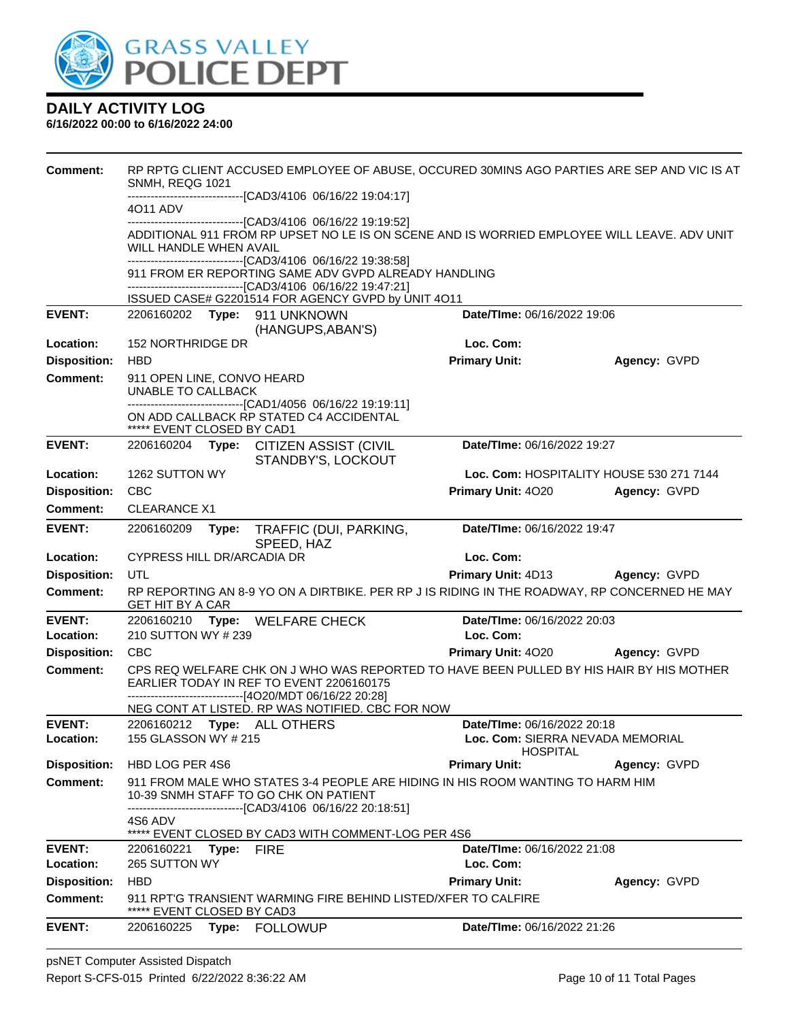

| <b>Comment:</b>            | SNMH, REQG 1021                                  |            |                                                                                                                                                                                      | RP RPTG CLIENT ACCUSED EMPLOYEE OF ABUSE, OCCURED 30MINS AGO PARTIES ARE SEP AND VIC IS AT   |                                          |
|----------------------------|--------------------------------------------------|------------|--------------------------------------------------------------------------------------------------------------------------------------------------------------------------------------|----------------------------------------------------------------------------------------------|------------------------------------------|
|                            |                                                  |            | -------------------------------[CAD3/4106 06/16/22 19:04:17]                                                                                                                         |                                                                                              |                                          |
|                            | 4011 ADV                                         |            |                                                                                                                                                                                      |                                                                                              |                                          |
|                            | WILL HANDLE WHEN AVAIL                           |            | -------------------------------[CAD3/4106 06/16/22 19:19:52]                                                                                                                         | ADDITIONAL 911 FROM RP UPSET NO LE IS ON SCENE AND IS WORRIED EMPLOYEE WILL LEAVE. ADV UNIT  |                                          |
|                            |                                                  |            | -------------------------------[CAD3/4106 06/16/22 19:38:58]<br>911 FROM ER REPORTING SAME ADV GVPD ALREADY HANDLING<br>-------------------------------[CAD3/4106 06/16/22 19:47:21] |                                                                                              |                                          |
|                            |                                                  |            | ISSUED CASE# G2201514 FOR AGENCY GVPD by UNIT 4011                                                                                                                                   |                                                                                              |                                          |
| <b>EVENT:</b>              |                                                  |            | 2206160202 Type: 911 UNKNOWN<br>(HANGUPS, ABAN'S)                                                                                                                                    | Date/TIme: 06/16/2022 19:06                                                                  |                                          |
| Location:                  | <b>152 NORTHRIDGE DR</b>                         |            |                                                                                                                                                                                      | Loc. Com:                                                                                    |                                          |
| <b>Disposition:</b>        | <b>HBD</b>                                       |            |                                                                                                                                                                                      | <b>Primary Unit:</b>                                                                         | Agency: GVPD                             |
| <b>Comment:</b>            | 911 OPEN LINE, CONVO HEARD<br>UNABLE TO CALLBACK |            |                                                                                                                                                                                      |                                                                                              |                                          |
|                            | ***** EVENT CLOSED BY CAD1                       |            | -------------------------------[CAD1/4056 06/16/22 19:19:11]<br>ON ADD CALLBACK RP STATED C4 ACCIDENTAL                                                                              |                                                                                              |                                          |
| <b>EVENT:</b>              |                                                  |            | 2206160204 Type: CITIZEN ASSIST (CIVIL<br>STANDBY'S, LOCKOUT                                                                                                                         | Date/TIme: 06/16/2022 19:27                                                                  |                                          |
| Location:                  | 1262 SUTTON WY                                   |            |                                                                                                                                                                                      |                                                                                              | Loc. Com: HOSPITALITY HOUSE 530 271 7144 |
| <b>Disposition:</b>        | CBC                                              |            |                                                                                                                                                                                      | Primary Unit: 4020                                                                           | Agency: GVPD                             |
| <b>Comment:</b>            | <b>CLEARANCE X1</b>                              |            |                                                                                                                                                                                      |                                                                                              |                                          |
| <b>EVENT:</b>              | 2206160209                                       | Type:      | TRAFFIC (DUI, PARKING,<br>SPEED, HAZ                                                                                                                                                 | Date/TIme: 06/16/2022 19:47                                                                  |                                          |
| Location:                  | CYPRESS HILL DR/ARCADIA DR                       |            |                                                                                                                                                                                      | Loc. Com:                                                                                    |                                          |
| <b>Disposition:</b>        | UTL                                              |            |                                                                                                                                                                                      | Primary Unit: 4D13 Agency: GVPD                                                              |                                          |
| Comment:                   | <b>GET HIT BY A CAR</b>                          |            |                                                                                                                                                                                      | RP REPORTING AN 8-9 YO ON A DIRTBIKE. PER RP J IS RIDING IN THE ROADWAY, RP CONCERNED HE MAY |                                          |
| <b>EVENT:</b>              |                                                  |            | 2206160210 Type: WELFARE CHECK                                                                                                                                                       | Date/TIme: 06/16/2022 20:03                                                                  |                                          |
| Location:                  | 210 SUTTON WY # 239                              |            |                                                                                                                                                                                      | Loc. Com:                                                                                    |                                          |
| <b>Disposition:</b>        | <b>CBC</b>                                       |            |                                                                                                                                                                                      | Primary Unit: 4020 Agency: GVPD                                                              |                                          |
| Comment:                   |                                                  |            | EARLIER TODAY IN REF TO EVENT 2206160175<br>-------------------------------[4O20/MDT 06/16/22 20:28]                                                                                 | CPS REQ WELFARE CHK ON J WHO WAS REPORTED TO HAVE BEEN PULLED BY HIS HAIR BY HIS MOTHER      |                                          |
|                            |                                                  |            | NEG CONT AT LISTED. RP WAS NOTIFIED. CBC FOR NOW                                                                                                                                     |                                                                                              |                                          |
| <b>EVENT:</b><br>Location: | 155 GLASSON WY # 215                             |            | 2206160212 Type: ALL OTHERS                                                                                                                                                          | Date/TIme: 06/16/2022 20:18<br>Loc. Com: SIERRA NEVADA MEMORIAL<br><b>HOSPITAL</b>           |                                          |
| <b>Disposition:</b>        | HBD LOG PER 4S6                                  |            |                                                                                                                                                                                      | <b>Primary Unit:</b>                                                                         | Agency: GVPD                             |
| Comment:                   |                                                  |            | 10-39 SNMH STAFF TO GO CHK ON PATIENT                                                                                                                                                | 911 FROM MALE WHO STATES 3-4 PEOPLE ARE HIDING IN HIS ROOM WANTING TO HARM HIM               |                                          |
|                            | 4S6 ADV                                          |            | ---------------------------[CAD3/4106 06/16/22 20:18:51]<br>***** EVENT CLOSED BY CAD3 WITH COMMENT-LOG PER 4S6                                                                      |                                                                                              |                                          |
| <b>EVENT:</b>              | 2206160221                                       | Type: FIRE |                                                                                                                                                                                      | <b>Date/Time: 06/16/2022 21:08</b>                                                           |                                          |
| Location:                  | 265 SUTTON WY                                    |            |                                                                                                                                                                                      | Loc. Com:                                                                                    |                                          |
| <b>Disposition:</b>        | <b>HBD</b>                                       |            |                                                                                                                                                                                      | <b>Primary Unit:</b>                                                                         | Agency: GVPD                             |
| <b>Comment:</b>            | ***** EVENT CLOSED BY CAD3                       |            | 911 RPT'G TRANSIENT WARMING FIRE BEHIND LISTED/XFER TO CALFIRE                                                                                                                       |                                                                                              |                                          |
| <b>EVENT:</b>              | 2206160225                                       | Type:      | FOLLOWUP                                                                                                                                                                             | Date/TIme: 06/16/2022 21:26                                                                  |                                          |